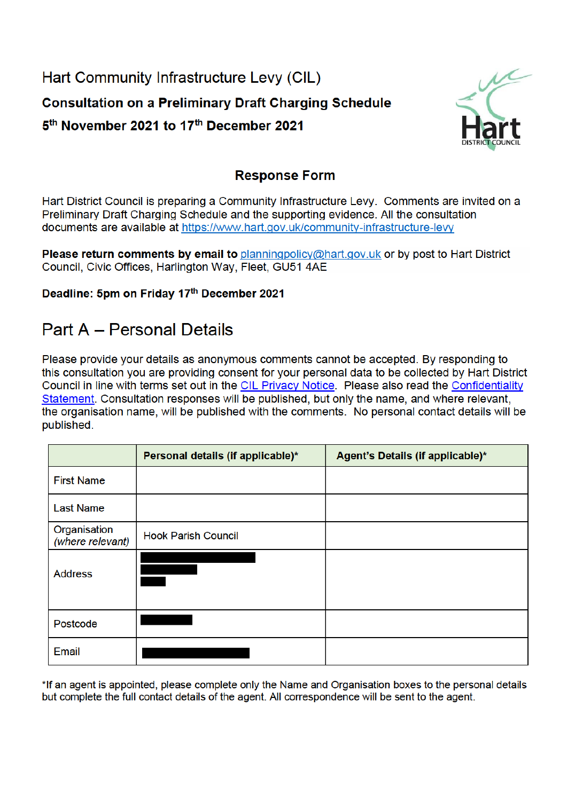Hart Community Infrastructure Levy (CIL) **Consultation on a Preliminary Draft Charging Schedule** 5<sup>th</sup> November 2021 to 17<sup>th</sup> December 2021



### **Response Form**

Hart District Council is preparing a Community Infrastructure Levy. Comments are invited on a Preliminary Draft Charging Schedule and the supporting evidence. All the consultation documents are available at https://www.hart.gov.uk/community-infrastructure-levy

Please return comments by email to planningpolicy@hart.gov.uk or by post to Hart District Council, Civic Offices, Harlington Way, Fleet, GU51 4AE

### Deadline: 5pm on Friday 17th December 2021

# **Part A - Personal Details**

Please provide your details as anonymous comments cannot be accepted. By responding to this consultation you are providing consent for your personal data to be collected by Hart District Council in line with terms set out in the CIL Privacy Notice. Please also read the Confidentiality Statement. Consultation responses will be published, but only the name, and where relevant, the organisation name, will be published with the comments. No personal contact details will be published.

|                                  | Personal details (if applicable)* | Agent's Details (if applicable)* |
|----------------------------------|-----------------------------------|----------------------------------|
| <b>First Name</b>                |                                   |                                  |
| <b>Last Name</b>                 |                                   |                                  |
| Organisation<br>(where relevant) | <b>Hook Parish Council</b>        |                                  |
| <b>Address</b>                   |                                   |                                  |
| Postcode                         |                                   |                                  |
| Email                            |                                   |                                  |

\*If an agent is appointed, please complete only the Name and Organisation boxes to the personal details but complete the full contact details of the agent. All correspondence will be sent to the agent.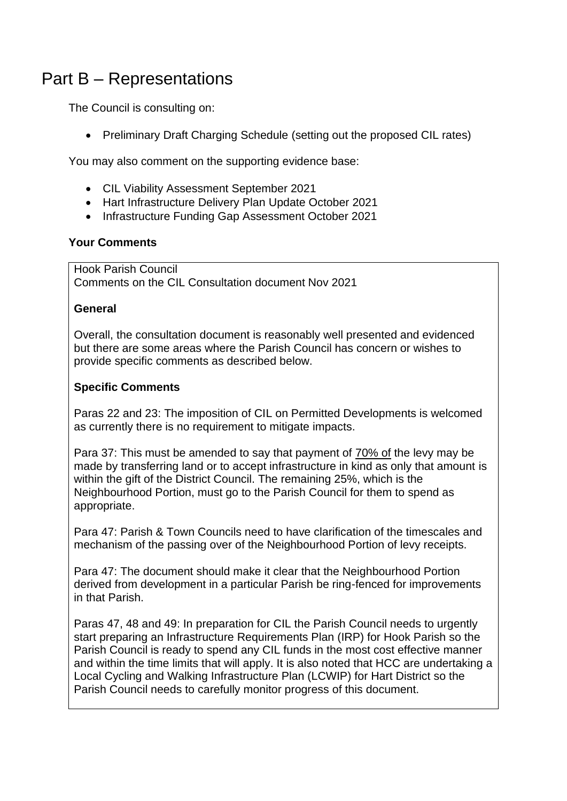## Part B – Representations

The Council is consulting on:

• Preliminary Draft Charging Schedule (setting out the proposed CIL rates)

You may also comment on the supporting evidence base:

- CIL Viability Assessment September 2021
- Hart Infrastructure Delivery Plan Update October 2021
- Infrastructure Funding Gap Assessment October 2021

### **Your Comments**

Hook Parish Council Comments on the CIL Consultation document Nov 2021

### **General**

Overall, the consultation document is reasonably well presented and evidenced but there are some areas where the Parish Council has concern or wishes to provide specific comments as described below.

### **Specific Comments**

Paras 22 and 23: The imposition of CIL on Permitted Developments is welcomed as currently there is no requirement to mitigate impacts.

Para 37: This must be amended to say that payment of 70% of the levy may be made by transferring land or to accept infrastructure in kind as only that amount is within the gift of the District Council. The remaining 25%, which is the Neighbourhood Portion, must go to the Parish Council for them to spend as appropriate.

Para 47: Parish & Town Councils need to have clarification of the timescales and mechanism of the passing over of the Neighbourhood Portion of levy receipts.

Para 47: The document should make it clear that the Neighbourhood Portion derived from development in a particular Parish be ring-fenced for improvements in that Parish.

Paras 47, 48 and 49: In preparation for CIL the Parish Council needs to urgently start preparing an Infrastructure Requirements Plan (IRP) for Hook Parish so the Parish Council is ready to spend any CIL funds in the most cost effective manner and within the time limits that will apply. It is also noted that HCC are undertaking a Local Cycling and Walking Infrastructure Plan (LCWIP) for Hart District so the Parish Council needs to carefully monitor progress of this document.